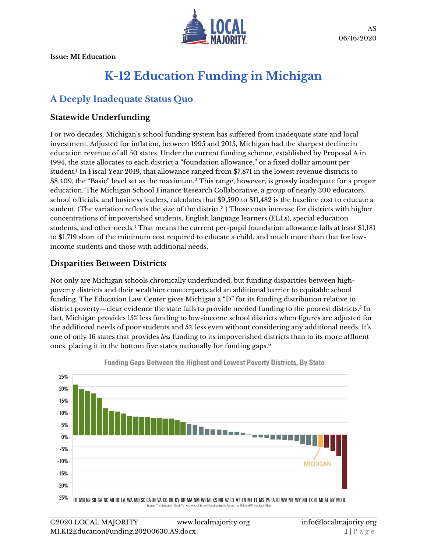

# **K-12 Education Funding in Michigan**

# **A Deeply Inadequate Status Quo**

#### **Statewide Underfunding**

For two decades, Michigan's school funding system has suffered from inadequate state and local investment. Adjusted for inflation, between 1995 and 2015, Michigan had the sharpest decline in education revenue of all 50 states. Under the current funding scheme, established by Proposal A in 1994, the state allocates to each district a "foundation allowance," or a fixed dollar amount per student.<sup>1</sup> In Fiscal Year 2019, that allowance ranged from \$7,871 in the lowest revenue districts to \$8,409, the "Basic" level set as the maximum.<sup>2</sup> This range, however, is grossly inadequate for a proper education. The Michigan School Finance Research Collaborative, a group of nearly 300 educators, school officials, and business leaders, calculates that \$9,590 to \$11,482 is the baseline cost to educate a student. (The variation reflects the size of the district.<sup>3</sup> ) Those costs increase for districts with higher concentrations of impoverished students, English language learners (ELLs), special education students, and other needs.<sup>4</sup> That means the current per-pupil foundation allowance falls at least \$1,181 to \$1,719 short of the minimum cost required to educate a child, and much more than that for lowincome students and those with additional needs.

#### **Disparities Between Districts**

Not only are Michigan schools chronically underfunded, but funding disparities between highpoverty districts and their wealthier counterparts add an additional barrier to equitable school funding. The Education Law Center gives Michigan a "D" for its funding distribution relative to district poverty—clear evidence the state fails to provide needed funding to the poorest districts. $^5$  In fact, Michigan provides 15% less funding to low-income school districts when figures are adjusted for the additional needs of poor students and 5% less even without considering any additional needs. It's one of only 16 states that provides *less* funding to its impoverished districts than to its more affluent ones, placing it in the bottom five states nationally for funding gaps.6



**Funding Gaps Between the Highest and Lowest Poverty Districts, By State**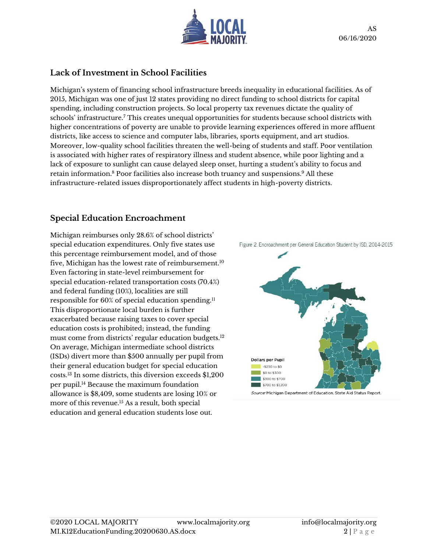

#### **Lack of Investment in School Facilities**

Michigan's system of financing school infrastructure breeds inequality in educational facilities. As of 2015, Michigan was one of just 12 states providing no direct funding to school districts for capital spending, including construction projects. So local property tax revenues dictate the quality of schools' infrastructure.<sup>7</sup> This creates unequal opportunities for students because school districts with higher concentrations of poverty are unable to provide learning experiences offered in more affluent districts, like access to science and computer labs, libraries, sports equipment, and art studios. Moreover, low-quality school facilities threaten the well-being of students and staff. Poor ventilation is associated with higher rates of respiratory illness and student absence, while poor lighting and a lack of exposure to sunlight can cause delayed sleep onset, hurting a student's ability to focus and retain information.<sup>8</sup> Poor facilities also increase both truancy and suspensions. <sup>9</sup> All these infrastructure-related issues disproportionately affect students in high-poverty districts.

#### **Special Education Encroachment**

Michigan reimburses only 28.6% of school districts' special education expenditures. Only five states use this percentage reimbursement model, and of those five, Michigan has the lowest rate of reimbursement.<sup>10</sup> Even factoring in state-level reimbursement for special education-related transportation costs (70.4%) and federal funding (10%), localities are still responsible for 60% of special education spending.<sup>11</sup> This disproportionate local burden is further exacerbated because raising taxes to cover special education costs is prohibited; instead, the funding must come from districts' regular education budgets.<sup>12</sup> On average, Michigan intermediate school districts (ISDs) divert more than \$500 annually per pupil from their general education budget for special education costs. <sup>13</sup> In some districts, this diversion exceeds \$1,200 per pupil.<sup>14</sup> Because the maximum foundation allowance is \$8,409, some students are losing 10% or more of this revenue.<sup>15</sup> As a result, both special education and general education students lose out.



Figure 2. Encroachment per General Education Student by ISD, 2014-2015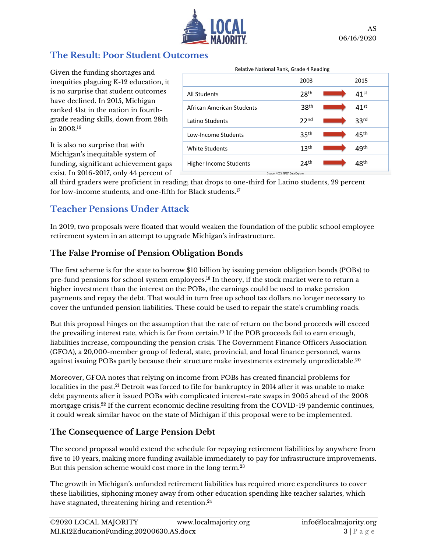

## **The Result: Poor Student Outcomes**

Given the funding shortages and inequities plaguing K-12 education, it is no surprise that student outcomes have declined. In 2015, Michigan ranked 41st in the nation in fourthgrade reading skills, down from 28th in 2003.<sup>16</sup>

It is also no surprise that with Michigan's inequitable system of funding, significant achievement gaps exist. In 2016-2017, only 44 percent of

|                           | 2003             | 2015               |
|---------------------------|------------------|--------------------|
| All Students              | 28 <sup>th</sup> | $41$ <sup>st</sup> |
| African American Students | 38 <sup>th</sup> | $41$ <sup>st</sup> |
| Latino Students           | 22 <sup>nd</sup> | 33 <sup>rd</sup>   |
| Low-Income Students       | 35 <sup>th</sup> | 45 <sup>th</sup>   |
| White Students            | 13 <sup>th</sup> | 49 <sup>th</sup>   |
| Higher Income Students    | 24 <sup>th</sup> | 48 <sup>th</sup>   |

all third graders were proficient in reading; that drops to one-third for Latino students, 29 percent for low-income students, and one-fifth for Black students.<sup>17</sup>

## **Teacher Pensions Under Attack**

In 2019, two proposals were floated that would weaken the foundation of the public school employee retirement system in an attempt to upgrade Michigan's infrastructure.

## **The False Promise of Pension Obligation Bonds**

The first scheme is for the state to borrow \$10 billion by issuing pension obligation bonds (POBs) to pre-fund pensions for school system employees.<sup>18</sup> In theory, if the stock market were to return a higher investment than the interest on the POBs, the earnings could be used to make pension payments and repay the debt. That would in turn free up school tax dollars no longer necessary to cover the unfunded pension liabilities. These could be used to repair the state's crumbling roads.

But this proposal hinges on the assumption that the rate of return on the bond proceeds will exceed the prevailing interest rate, which is far from certain.<sup>19</sup> If the POB proceeds fail to earn enough, liabilities increase, compounding the pension crisis. The Government Finance Officers Association (GFOA), a 20,000-member group of federal, state, provincial, and local finance personnel, warns against issuing POBs partly because their structure make investments extremely unpredictable.<sup>20</sup>

Moreover, GFOA notes that relying on income from POBs has created financial problems for localities in the past.<sup>21</sup> Detroit was forced to file for bankruptcy in 2014 after it was unable to make debt payments after it issued POBs with complicated interest-rate swaps in 2005 ahead of the 2008 mortgage crisis.<sup>22</sup> If the current economic decline resulting from the COVID-19 pandemic continues, it could wreak similar havoc on the state of Michigan if this proposal were to be implemented.

## **The Consequence of Large Pension Debt**

The second proposal would extend the schedule for repaying retirement liabilities by anywhere from five to 10 years, making more funding available immediately to pay for infrastructure improvements. But this pension scheme would cost more in the long term.<sup>23</sup>

The growth in Michigan's unfunded retirement liabilities has required more expenditures to cover these liabilities, siphoning money away from other education spending like teacher salaries, which have stagnated, threatening hiring and retention.<sup>24</sup>